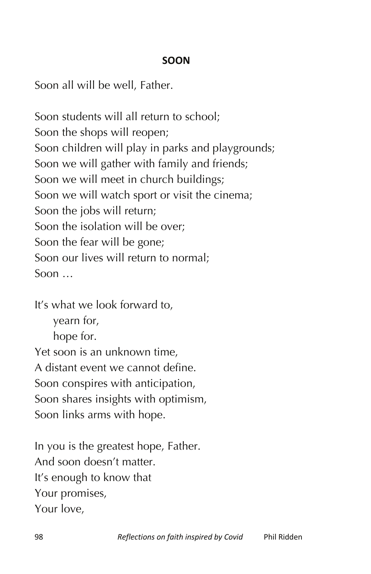## **SOON**

Soon all will be well, Father.

Soon students will all return to school; Soon the shops will reopen; Soon children will play in parks and playgrounds; Soon we will gather with family and friends; Soon we will meet in church buildings; Soon we will watch sport or visit the cinema; Soon the jobs will return; Soon the isolation will be over; Soon the fear will be gone; Soon our lives will return to normal; Soon …

It's what we look forward to,

yearn for, hope for.

Yet soon is an unknown time, A distant event we cannot define. Soon conspires with anticipation, Soon shares insights with optimism, Soon links arms with hope.

In you is the greatest hope, Father. And soon doesn't matter. It's enough to know that Your promises, Your love,